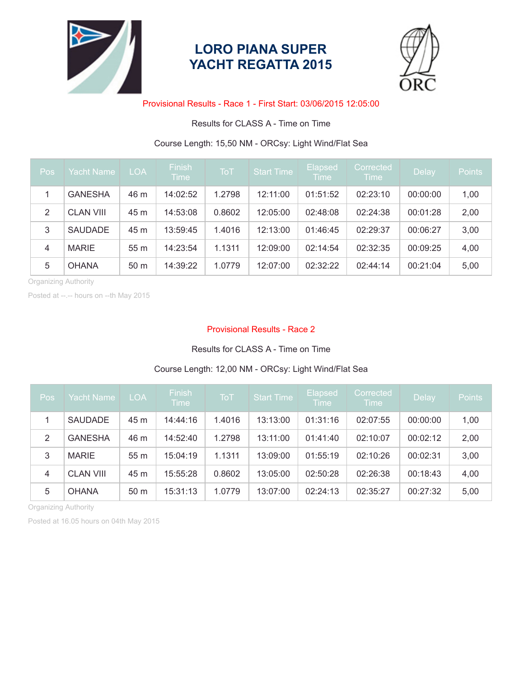

## **LORO PIANA SUPER YACHT REGATTA 2015**



### Provisional Results - Race 1 - First Start: 03/06/2015 12:05:00

## Results for CLASS A - Time on Time

## Course Length: 15,50 NM - ORCsy: Light Wind/Flat Sea

| Pos                  | <b>Yacht Name</b> | <b>LOA</b>      | <b>Finish</b><br><b>Time</b> | <b>ToT</b> | <b>Start Time</b> | <b>Elapsed</b><br><b>Time</b> | Corrected<br><b>Time</b> | Delay    | <b>Points</b> |
|----------------------|-------------------|-----------------|------------------------------|------------|-------------------|-------------------------------|--------------------------|----------|---------------|
|                      | <b>GANESHA</b>    | 46 m            | 14:02:52                     | 1.2798     | 12:11:00          | 01:51:52                      | 02:23:10                 | 00:00:00 | 1,00          |
| 2                    | <b>CLAN VIII</b>  | 45 m            | 14:53:08                     | 0.8602     | 12:05:00          | 02:48:08                      | 02:24:38                 | 00:01:28 | 2,00          |
| 3                    | <b>SAUDADE</b>    | 45 m            | 13:59:45                     | 1.4016     | 12:13:00          | 01:46:45                      | 02:29:37                 | 00:06:27 | 3,00          |
| $\overline{4}$       | <b>MARIE</b>      | 55 <sub>m</sub> | 14:23:54                     | 1.1311     | 12:09:00          | 02:14:54                      | 02:32:35                 | 00:09:25 | 4,00          |
| 5                    | <b>OHANA</b>      | 50 <sub>m</sub> | 14:39:22                     | 1.0779     | 12:07:00          | 02:32:22                      | 02:44:14                 | 00:21:04 | 5,00          |
| Oraanizina Authority |                   |                 |                              |            |                   |                               |                          |          |               |

Organizing Authority

Posted at --.-- hours on --th May 2015

#### Provisional Results - Race 2

#### Results for CLASS A - Time on Time

## Course Length: 12,00 NM - ORCsy: Light Wind/Flat Sea

| Pos            | <b>Yacht Name</b> | <b>LOA</b>      | <b>Finish</b><br>Time | <b>ToT</b> | <b>Start Time</b> | Elapsed<br><b>Time</b> | Corrected<br><b>Time</b> | Delay    | <b>Points</b> |
|----------------|-------------------|-----------------|-----------------------|------------|-------------------|------------------------|--------------------------|----------|---------------|
|                | <b>SAUDADE</b>    | 45 m            | 14:44:16              | 1.4016     | 13:13:00          | 01:31:16               | 02:07:55                 | 00:00:00 | 1,00          |
| 2              | <b>GANESHA</b>    | 46 m            | 14:52:40              | 1.2798     | 13:11:00          | 01:41:40               | 02:10:07                 | 00:02:12 | 2,00          |
| 3              | <b>MARIE</b>      | 55 <sub>m</sub> | 15:04:19              | 1.1311     | 13:09:00          | 01:55:19               | 02:10:26                 | 00:02:31 | 3,00          |
| $\overline{4}$ | <b>CLAN VIII</b>  | 45 m            | 15:55:28              | 0.8602     | 13:05:00          | 02:50:28               | 02:26:38                 | 00:18:43 | 4,00          |
| 5              | <b>OHANA</b>      | 50 <sub>m</sub> | 15:31:13              | 1.0779     | 13:07:00          | 02:24:13               | 02:35:27                 | 00:27:32 | 5,00          |

Organizing Authority

Posted at 16.05 hours on 04th May 2015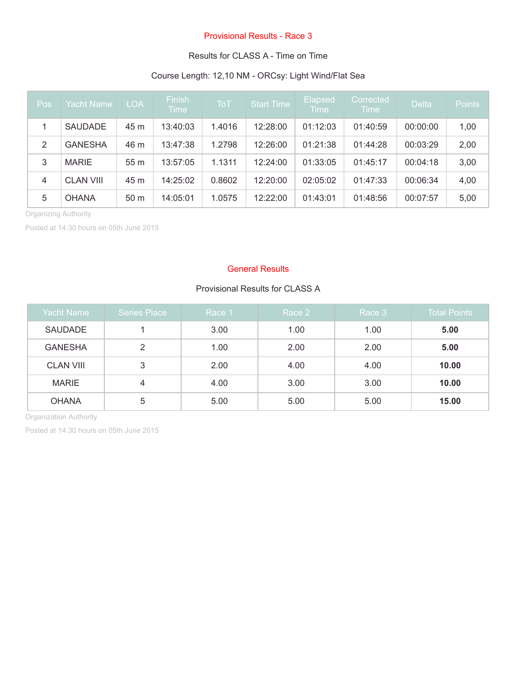#### Provisional Results - Race 3

#### Results for CLASS A - Time on Time

## Course Length: 12,10 NM - ORCsy: Light Wind/Flat Sea

| Pos            | <b>Yacht Name</b> | <b>LOA</b>      | <b>Finish</b><br><b>Time</b> | ͳϭͳ    | Start Time | Elapsed<br><b>Time</b> | Corrected<br><b>Time</b> | <b>Delta</b> | <b>Points</b> |
|----------------|-------------------|-----------------|------------------------------|--------|------------|------------------------|--------------------------|--------------|---------------|
|                | <b>SAUDADE</b>    | 45 m            | 13:40:03                     | 1.4016 | 12:28:00   | 01:12:03               | 01:40:59                 | 00:00:00     | 1,00          |
| 2              | <b>GANESHA</b>    | 46 m            | 13:47:38                     | 1.2798 | 12:26:00   | 01:21:38               | 01:44:28                 | 00:03:29     | 2,00          |
| 3              | <b>MARIE</b>      | 55m             | 13:57:05                     | 1.1311 | 12:24:00   | 01:33:05               | 01:45:17                 | 00:04:18     | 3,00          |
| $\overline{4}$ | <b>CLAN VIII</b>  | 45 m            | 14:25:02                     | 0.8602 | 12:20:00   | 02:05:02               | 01:47:33                 | 00:06:34     | 4,00          |
| 5              | <b>OHANA</b>      | 50 <sub>m</sub> | 14:05:01                     | 1.0575 | 12:22:00   | 01:43:01               | 01:48:56                 | 00:07:57     | 5,00          |

Organizing Authority

Posted at 14.30 hours on 05th June 2015

#### General Results

## Provisional Results for CLASS A

| <b>Yacht Name</b> | Series Place | Race 1 | Race 2 | Race 3 | <b>Total Points</b> |
|-------------------|--------------|--------|--------|--------|---------------------|
| <b>SAUDADE</b>    |              | 3.00   | 1.00   | 1.00   | 5.00                |
| <b>GANESHA</b>    | 2            | 1.00   | 2.00   | 2.00   | 5.00                |
| <b>CLAN VIII</b>  | 3            | 2.00   | 4.00   | 4.00   | 10.00               |
| <b>MARIE</b>      | 4            | 4.00   | 3.00   | 3.00   | 10.00               |
| <b>OHANA</b>      | 5            | 5.00   | 5.00   | 5.00   | 15.00               |

Organization Authority

Posted at 14.30 hours on 05th June 2015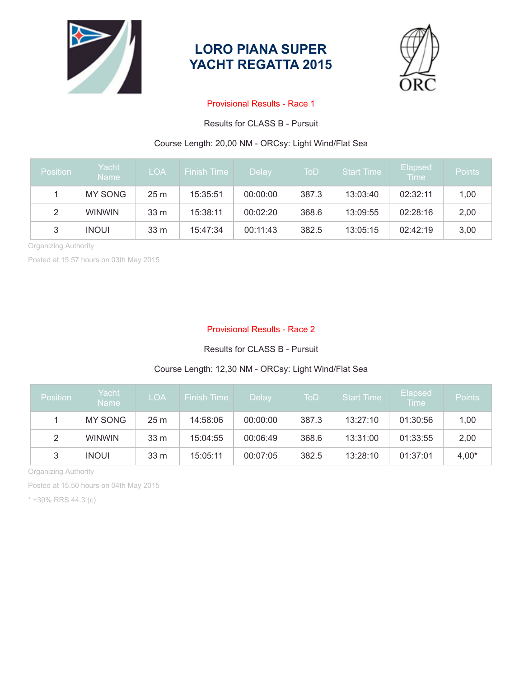

## **LORO PIANA SUPER YACHT REGATTA 2015**



#### Provisional Results - Race 1

Results for CLASS B - Pursuit

## Course Length: 20,00 NM - ORCsy: Light Wind/Flat Sea

| <b>Position</b> | Yacht<br><b>Name</b> | <b>LOA</b>      | <b>Finish Time</b> | <b>Delay</b> | ToD   | <b>Start Time</b> | <b>Elapsed</b><br><b>Time</b> | <b>Points</b> |
|-----------------|----------------------|-----------------|--------------------|--------------|-------|-------------------|-------------------------------|---------------|
|                 | <b>MY SONG</b>       | 25 <sub>m</sub> | 15:35:51           | 00:00:00     | 387.3 | 13:03:40          | 02:32:11                      | 1,00          |
| 2               | <b>WINWIN</b>        | 33 <sub>m</sub> | 15:38:11           | 00:02:20     | 368.6 | 13:09:55          | 02:28:16                      | 2,00          |
| 3               | <b>INOUI</b>         | 33 <sub>m</sub> | 15:47:34           | 00:11:43     | 382.5 | 13:05:15          | 02:42:19                      | 3,00          |

Organizing Authority

Posted at 15.57 hours on 03th May 2015

#### Provisional Results - Race 2

#### Results for CLASS B - Pursuit

## Course Length: 12,30 NM - ORCsy: Light Wind/Flat Sea

| <b>Position</b> | Yacht<br><b>Name</b> | <b>LOA</b>      | <b>Finish Time</b> | Delay    | ToD   | <b>Start Time</b> | <b>Elapsed</b><br><b>Time</b> | <b>Points</b> |
|-----------------|----------------------|-----------------|--------------------|----------|-------|-------------------|-------------------------------|---------------|
|                 | <b>MY SONG</b>       | 25 <sub>m</sub> | 14:58:06           | 00:00:00 | 387.3 | 13:27:10          | 01:30:56                      | 1,00          |
| 2               | <b>WINWIN</b>        | 33 <sub>m</sub> | 15:04:55           | 00:06:49 | 368.6 | 13:31:00          | 01:33:55                      | 2,00          |
| 3               | <b>INOUI</b>         | 33 m            | 15:05:11           | 00:07:05 | 382.5 | 13:28:10          | 01:37:01                      | $4,00*$       |

Organizing Authority

Posted at 15.50 hours on 04th May 2015

\* +30% RRS 44.3 (c)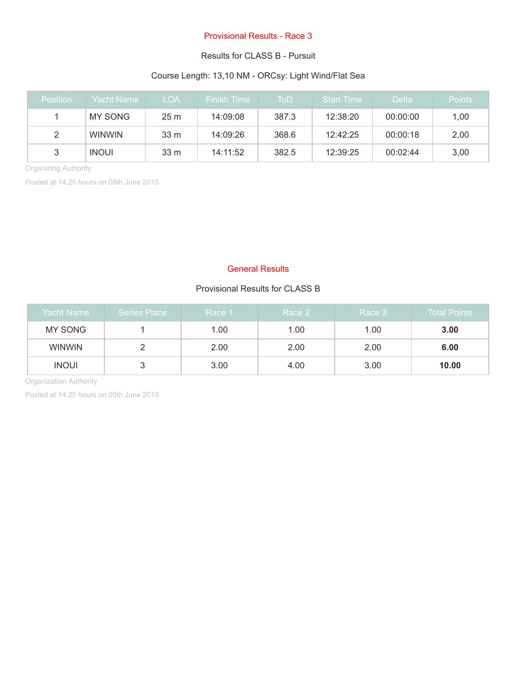#### Provisional Results - Race 3

#### Results for CLASS B - Pursuit

### Course Length: 13,10 NM - ORCsy: Light Wind/Flat Sea

| <b>Position</b> | Yacht Name:   | LOA.            | <b>Finish Time</b> | ToD   | <b>Start Time</b> | <b>Delta</b> | <b>Points</b> |
|-----------------|---------------|-----------------|--------------------|-------|-------------------|--------------|---------------|
|                 | MY SONG       | 25 <sub>m</sub> | 14:09:08           | 387.3 | 12:38:20          | 00:00:00     | 1,00          |
| 2               | <b>WINWIN</b> | 33 m            | 14:09:26           | 368.6 | 12:42:25          | 00:00:18     | 2,00          |
|                 | <b>INOUI</b>  | 33 m            | 14:11:52           | 382.5 | 12:39:25          | 00:02:44     | 3,00          |

Organizing Authority

Posted at 14.25 hours on 05th June 2015

#### General Results

## Provisional Results for CLASS B

| Yacht Name    | <b>Series Place</b> | Race 1 | Race 2 | Race 3 | <b>Total Points</b> |
|---------------|---------------------|--------|--------|--------|---------------------|
| MY SONG       |                     | 1.00   | 1.00   | 1.00   | 3.00                |
| <b>WINWIN</b> |                     | 2.00   | 2.00   | 2.00   | 6.00                |
| <b>INOUI</b>  | ت                   | 3.00   | 4.00   | 3.00   | 10.00               |

Organization Authority

Posted at 14.25 hours on 05th June 2015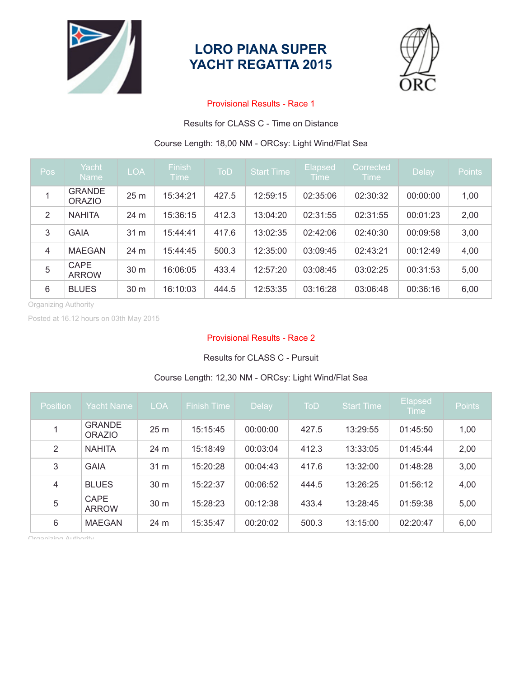

## **LORO PIANA SUPER YACHT REGATTA 2015**



#### Provisional Results - Race 1

Results for CLASS C - Time on Distance

#### Course Length: 18,00 NM - ORCsy: Light Wind/Flat Sea

| Pos                  | Yacht<br><b>Name</b>           | <b>LOA</b> | <b>Finish</b><br><b>Time</b> | <b>ToD</b> | <b>Start Time</b> | <b>Elapsed</b><br><b>Time</b> | Corrected<br><b>Time</b> | Delay    | <b>Points</b> |
|----------------------|--------------------------------|------------|------------------------------|------------|-------------------|-------------------------------|--------------------------|----------|---------------|
| 1                    | <b>GRANDE</b><br><b>ORAZIO</b> | 25 m       | 15:34:21                     | 427.5      | 12:59:15          | 02:35:06                      | 02:30:32                 | 00:00:00 | 1,00          |
| 2                    | <b>NAHITA</b>                  | 24 m       | 15:36:15                     | 412.3      | 13:04:20          | 02:31:55                      | 02:31:55                 | 00:01:23 | 2,00          |
| 3                    | <b>GAIA</b>                    | 31 m       | 15:44:41                     | 417.6      | 13:02:35          | 02:42:06                      | 02:40:30                 | 00:09:58 | 3,00          |
| $\overline{4}$       | <b>MAEGAN</b>                  | 24 m       | 15:44:45                     | 500.3      | 12:35:00          | 03:09:45                      | 02:43:21                 | 00:12:49 | 4,00          |
| 5                    | <b>CAPE</b><br><b>ARROW</b>    | 30 m       | 16:06:05                     | 433.4      | 12:57:20          | 03:08:45                      | 03:02:25                 | 00:31:53 | 5,00          |
| 6                    | <b>BLUES</b>                   | 30 m       | 16:10:03                     | 444.5      | 12:53:35          | 03:16:28                      | 03:06:48                 | 00:36:16 | 6,00          |
| Organizing Authority |                                |            |                              |            |                   |                               |                          |          |               |

Organizing Authority

Posted at 16.12 hours on 03th May 2015

#### Provisional Results - Race 2

#### Results for CLASS C - Pursuit

# 1 GRANDE<br>ORAZIO ORAZIO 25 m 15:15:45 00:00:00 427.5 13:29:55 01:45:50 1,00 2 NAHITA 24 m 15:18:49 00:03:04 412.3 13:33:05 01:45:44 2,00 3 GAIA 31 m 15:20:28 00:04:43 417.6 13:32:00 01:48:28 3,00 4 BLUES 30 m 15:22:37 00:06:52 444.5 13:26:25 01:56:12 4,00 5 CAPE<br>ARROW ONE 30 m 15:28:23 00:12:38 433.4 13:28:45 01:59:38 5,00 6 MAEGAN 24 m 15:35:47 00:20:02 500.3 13:15:00 02:20:47 6,00

#### Course Length: 12,30 NM - ORCsy: Light Wind/Flat Sea

Organizing Authority